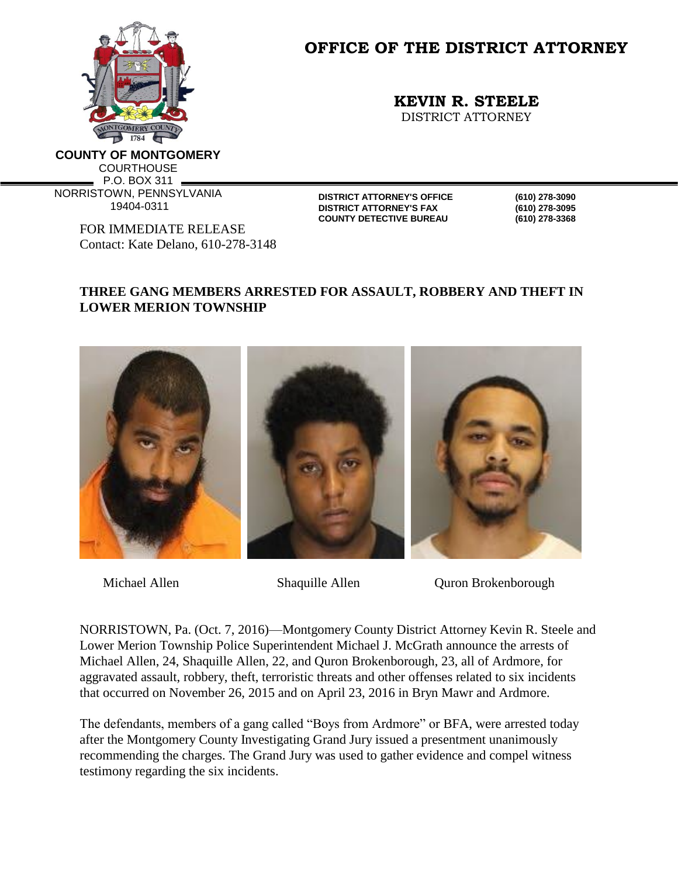

**OFFICE OF THE DISTRICT ATTORNEY**

**KEVIN R. STEELE**

DISTRICT ATTORNEY

**COUNTY OF MONTGOMERY COURTHOUSE** P.O. BOX 311 NORRISTOWN, PENNSYLVANIA 19404-0311

> FOR IMMEDIATE RELEASE Contact: Kate Delano, 610-278-3148

**DISTRICT ATTORNEY'S OFFICE (610) 278-3090 DISTRICT ATTORNEY'S FAX (610) 278-3095 COUNTY DETECTIVE BUREAU (610) 278-3368**

## **THREE GANG MEMBERS ARRESTED FOR ASSAULT, ROBBERY AND THEFT IN LOWER MERION TOWNSHIP**



Michael Allen Shaquille Allen Quron Brokenborough

NORRISTOWN, Pa. (Oct. 7, 2016)—Montgomery County District Attorney Kevin R. Steele and Lower Merion Township Police Superintendent Michael J. McGrath announce the arrests of Michael Allen, 24, Shaquille Allen, 22, and Quron Brokenborough, 23, all of Ardmore, for aggravated assault, robbery, theft, terroristic threats and other offenses related to six incidents that occurred on November 26, 2015 and on April 23, 2016 in Bryn Mawr and Ardmore.

The defendants, members of a gang called "Boys from Ardmore" or BFA, were arrested today after the Montgomery County Investigating Grand Jury issued a presentment unanimously recommending the charges. The Grand Jury was used to gather evidence and compel witness testimony regarding the six incidents.